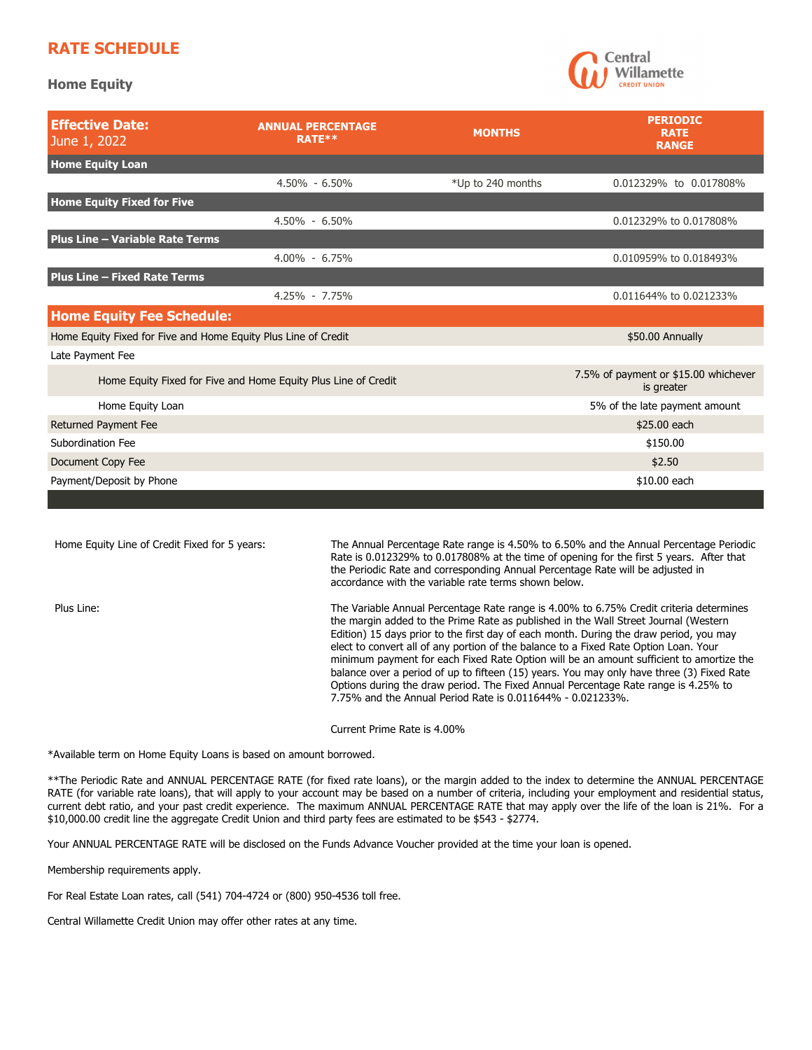## **RATE SCHEDULE**

**Home Equity** 



| <b>ANNUAL PERCENTAGE</b><br>RATE**                             | <b>MONTHS</b>     | <b>PERIODIC</b><br><b>RATE</b><br><b>RANGE</b>     |
|----------------------------------------------------------------|-------------------|----------------------------------------------------|
|                                                                |                   |                                                    |
| $4.50\% - 6.50\%$                                              | *Up to 240 months | 0.012329% to 0.017808%                             |
|                                                                |                   |                                                    |
| $4.50\% - 6.50\%$                                              |                   | 0.012329% to 0.017808%                             |
|                                                                |                   |                                                    |
| $4.00\% - 6.75\%$                                              |                   | 0.010959% to 0.018493%                             |
|                                                                |                   |                                                    |
| 4.25% - 7.75%                                                  |                   | 0.011644% to 0.021233%                             |
| <b>Home Equity Fee Schedule:</b>                               |                   |                                                    |
| Home Equity Fixed for Five and Home Equity Plus Line of Credit |                   | \$50.00 Annually                                   |
|                                                                |                   |                                                    |
| Home Equity Fixed for Five and Home Equity Plus Line of Credit |                   | 7.5% of payment or \$15.00 whichever<br>is greater |
|                                                                |                   | 5% of the late payment amount                      |
|                                                                |                   | \$25.00 each                                       |
| Subordination Fee                                              |                   | \$150.00                                           |
| Document Copy Fee                                              |                   | \$2.50                                             |
| Payment/Deposit by Phone                                       |                   | \$10.00 each                                       |
|                                                                |                   |                                                    |

| Home Equity Line of Credit Fixed for 5 years: | The Annual Percentage Rate range is 4.50% to 6.50% and the Annual Percentage Periodic<br>Rate is 0.012329% to 0.017808% at the time of opening for the first 5 years. After that<br>the Periodic Rate and corresponding Annual Percentage Rate will be adjusted in<br>accordance with the variable rate terms shown below.                                                                                                                                                                                                                                                                                                                                                                                  |
|-----------------------------------------------|-------------------------------------------------------------------------------------------------------------------------------------------------------------------------------------------------------------------------------------------------------------------------------------------------------------------------------------------------------------------------------------------------------------------------------------------------------------------------------------------------------------------------------------------------------------------------------------------------------------------------------------------------------------------------------------------------------------|
| Plus Line:                                    | The Variable Annual Percentage Rate range is 4.00% to 6.75% Credit criteria determines<br>the margin added to the Prime Rate as published in the Wall Street Journal (Western<br>Edition) 15 days prior to the first day of each month. During the draw period, you may<br>elect to convert all of any portion of the balance to a Fixed Rate Option Loan. Your<br>minimum payment for each Fixed Rate Option will be an amount sufficient to amortize the<br>balance over a period of up to fifteen (15) years. You may only have three (3) Fixed Rate<br>Options during the draw period. The Fixed Annual Percentage Rate range is 4.25% to<br>7.75% and the Annual Period Rate is 0.011644% - 0.021233%. |
|                                               | Current Prime Rate is 4.00%                                                                                                                                                                                                                                                                                                                                                                                                                                                                                                                                                                                                                                                                                 |

\*Available term on Home Equity Loans is based on amount borrowed.

\*\*The Periodic Rate and ANNUAL PERCENTAGE RATE (for fixed rate loans), or the margin added to the index to determine the ANNUAL PERCENTAGE RATE (for variable rate loans), that will apply to your account may be based on a number of criteria, including your employment and residential status, current debt ratio, and your past credit experience. The maximum ANNUAL PERCENTAGE RATE that may apply over the life of the loan is 21%. For a \$10,000.00 credit line the aggregate Credit Union and third party fees are estimated to be \$543 - \$2774.

Your ANNUAL PERCENTAGE RATE will be disclosed on the Funds Advance Voucher provided at the time your loan is opened.

Membership requirements apply.

For Real Estate Loan rates, call (541) 704-4724 or (800) 950-4536 toll free.

Central Willamette Credit Union may offer other rates at any time.